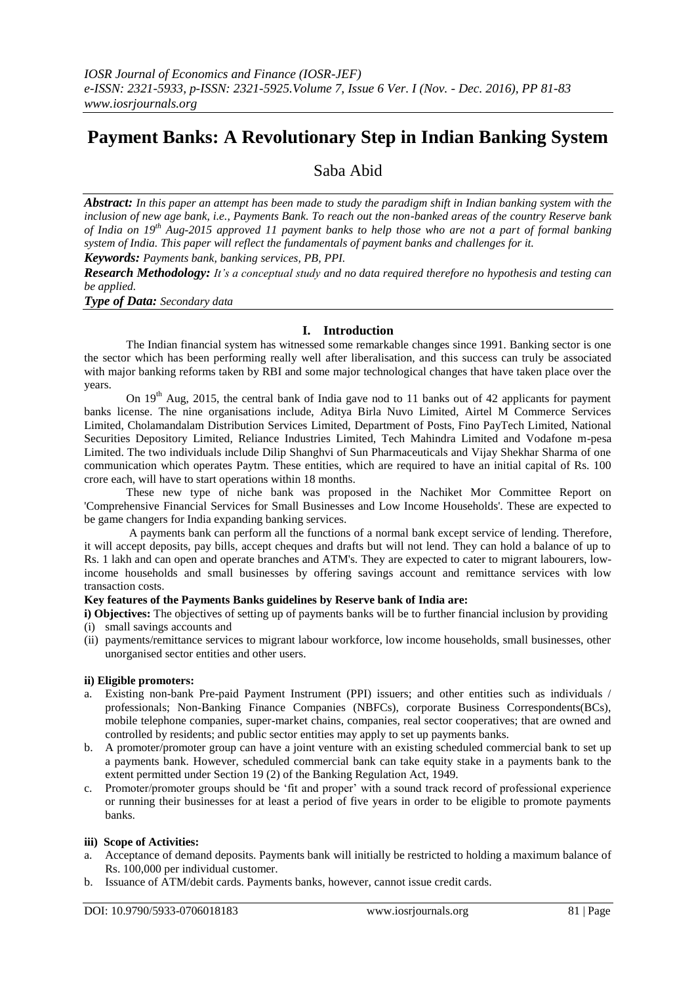# **Payment Banks: A Revolutionary Step in Indian Banking System**

## Saba Abid

*Abstract: In this paper an attempt has been made to study the paradigm shift in Indian banking system with the inclusion of new age bank, i.e., Payments Bank. To reach out the non-banked areas of the country Reserve bank of India on 19th Aug-2015 approved 11 payment banks to help those who are not a part of formal banking system of India. This paper will reflect the fundamentals of payment banks and challenges for it.*

*Keywords: Payments bank, banking services, PB, PPI.*

*Research Methodology: It's a conceptual study and no data required therefore no hypothesis and testing can be applied.*

*Type of Data: Secondary data*

## **I. Introduction**

The Indian financial system has witnessed some remarkable changes since 1991. Banking sector is one the sector which has been performing really well after liberalisation, and this success can truly be associated with major banking reforms taken by RBI and some major technological changes that have taken place over the years.

On 19<sup>th</sup> Aug, 2015, the central bank of India gave nod to 11 banks out of 42 applicants for payment banks license. The nine organisations include, Aditya Birla Nuvo Limited, Airtel M Commerce Services Limited, Cholamandalam Distribution Services Limited, Department of Posts, Fino PayTech Limited, National Securities Depository Limited, Reliance Industries Limited, Tech Mahindra Limited and Vodafone m-pesa Limited. The two individuals include Dilip Shanghvi of Sun Pharmaceuticals and Vijay Shekhar Sharma of one communication which operates Paytm. These entities, which are required to have an initial capital of Rs. 100 crore each, will have to start operations within 18 months.

These new type of niche bank was proposed in the Nachiket Mor Committee Report on 'Comprehensive Financial Services for Small Businesses and Low Income Households'. These are expected to be game changers for India expanding banking services.

A [payments bank](http://www.businessinsider.in/searchresult.cms?query=payments+bank) can perform all the functions of a normal bank except service of lending. Therefore, it will accept deposits, pay bills, accept cheques and drafts but will not lend. They can hold a balance of up to Rs. 1 lakh and can open and operate branches and ATM's. They are expected to cater to migrant labourers, lowincome households and small businesses by offering savings account and remittance services with low transaction costs.

## **Key features of the Payments Banks guidelines by Reserve bank of India are:**

**i) Objectives:** The objectives of setting up of payments banks will be to further financial inclusion by providing (i) small savings accounts and

(ii) payments/remittance services to migrant labour workforce, low income households, small businesses, other unorganised sector entities and other users.

## **ii) Eligible promoters:**

- a. Existing non-bank Pre-paid Payment Instrument (PPI) issuers; and other entities such as individuals / professionals; Non-Banking Finance Companies (NBFCs), corporate Business Correspondents(BCs), mobile telephone companies, super-market chains, companies, real sector cooperatives; that are owned and controlled by residents; and public sector entities may apply to set up payments banks.
- b. A promoter/promoter group can have a joint venture with an existing scheduled commercial bank to set up a payments bank. However, scheduled commercial bank can take equity stake in a payments bank to the extent permitted under Section 19 (2) of the Banking Regulation Act, 1949.
- c. Promoter/promoter groups should be 'fit and proper' with a sound track record of professional experience or running their businesses for at least a period of five years in order to be eligible to promote payments banks.

## **iii) Scope of Activities:**

- a. Acceptance of demand deposits. Payments bank will initially be restricted to holding a maximum balance of Rs. 100,000 per individual customer.
- b. Issuance of ATM/debit cards. Payments banks, however, cannot issue credit cards.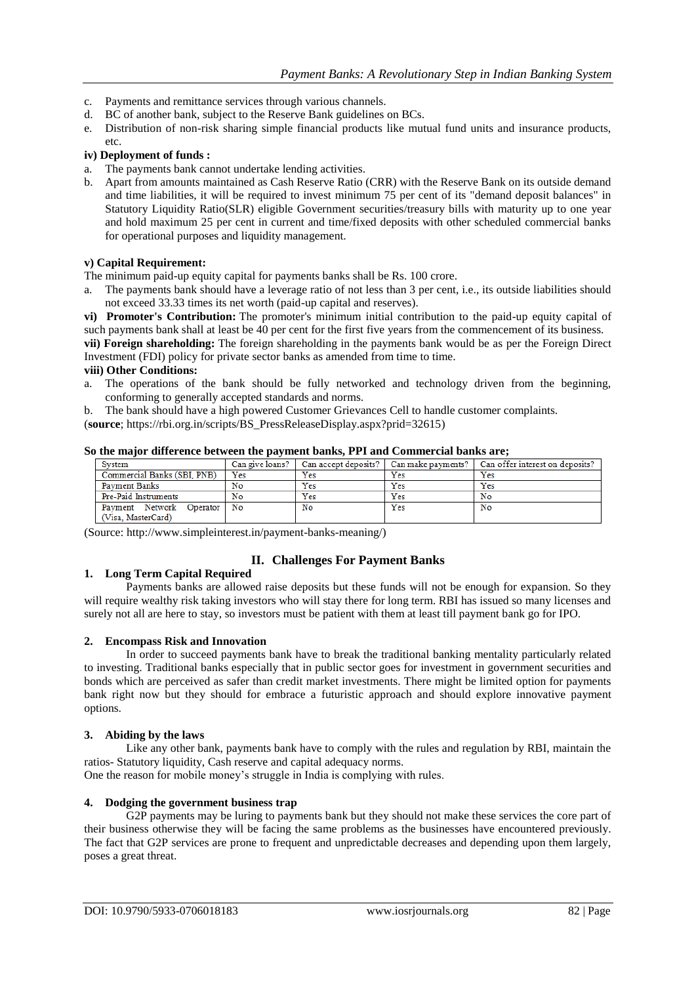- c. Payments and remittance services through various channels.
- d. BC of another bank, subject to the Reserve Bank guidelines on BCs.
- e. Distribution of non-risk sharing simple financial products like mutual fund units and insurance products, etc.

## **iv) Deployment of funds :**

- a. The payments bank cannot undertake lending activities.
- b. Apart from amounts maintained as Cash Reserve Ratio (CRR) with the Reserve Bank on its outside demand and time liabilities, it will be required to invest minimum 75 per cent of its "demand deposit balances" in Statutory Liquidity Ratio(SLR) eligible Government securities/treasury bills with maturity up to one year and hold maximum 25 per cent in current and time/fixed deposits with other scheduled commercial banks for operational purposes and liquidity management.

## **v) Capital Requirement:**

The minimum paid-up equity capital for payments banks shall be Rs. 100 crore.

a. The payments bank should have a leverage ratio of not less than 3 per cent, i.e., its outside liabilities should not exceed 33.33 times its net worth (paid-up capital and reserves).

**vi) Promoter's Contribution:** The promoter's minimum initial contribution to the paid-up equity capital of such payments bank shall at least be 40 per cent for the first five years from the commencement of its business.

**vii) Foreign shareholding:** The foreign shareholding in the payments bank would be as per the Foreign Direct Investment (FDI) policy for private sector banks as amended from time to time.

## **viii) Other Conditions:**

a. The operations of the bank should be fully networked and technology driven from the beginning, conforming to generally accepted standards and norms.

b. The bank should have a high powered Customer Grievances Cell to handle customer complaints.

(**source**; [https://rbi.org.in/scripts/BS\\_PressReleaseDisplay.aspx?prid=32615\)](https://rbi.org.in/scripts/BS_PressReleaseDisplay.aspx?prid=32615)

| oo ine major umerence between ine payment buming i'r runu commercial bumis ureg |                                                     |     |     |     |                                                                                               |
|---------------------------------------------------------------------------------|-----------------------------------------------------|-----|-----|-----|-----------------------------------------------------------------------------------------------|
|                                                                                 | System                                              |     |     |     | Can give loans?   Can accept deposits?   Can make payments?   Can offer interest on deposits? |
|                                                                                 | Commercial Banks (SBI, PNB)                         | Yes | Yes | Yes | Yes                                                                                           |
|                                                                                 | <b>Payment Banks</b>                                | No  | Yes | Yes | Yes                                                                                           |
|                                                                                 | Pre-Paid Instruments                                | No  | Yes | Yes | No                                                                                            |
|                                                                                 | Payment Network<br>Operator 1<br>(Visa. MasterCard) | No  | No  | Yes | No                                                                                            |

## **So the major difference between the payment banks, PPI and Commercial banks are;**

(Source: http://www.simpleinterest.in/payment-banks-meaning/)

## **II. Challenges For Payment Banks**

## **1. Long Term Capital Required**

Payments banks are allowed raise deposits but these funds will not be enough for expansion. So they will require wealthy risk taking investors who will stay there for long term. RBI has issued so many licenses and surely not all are here to stay, so investors must be patient with them at least till payment bank go for IPO.

## **2. Encompass Risk and Innovation**

In order to succeed payments bank have to break the traditional banking mentality particularly related to investing. Traditional banks especially that in public sector goes for investment in government securities and bonds which are perceived as safer than credit market investments. There might be limited option for payments bank right now but they should for embrace a futuristic approach and should explore innovative payment options.

## **3. Abiding by the laws**

Like any other bank, payments bank have to comply with the rules and regulation by RBI, maintain the ratios- Statutory liquidity, Cash reserve and capital adequacy norms.

One the reason for mobile money's struggle in India is complying with rules.

## **4. Dodging the government business trap**

G2P payments may be luring to payments bank but they should not make these services the core part of their business otherwise they will be facing the same problems as the businesses have encountered previously. The fact that G2P services are prone to frequent and unpredictable decreases and depending upon them largely, poses a great threat.